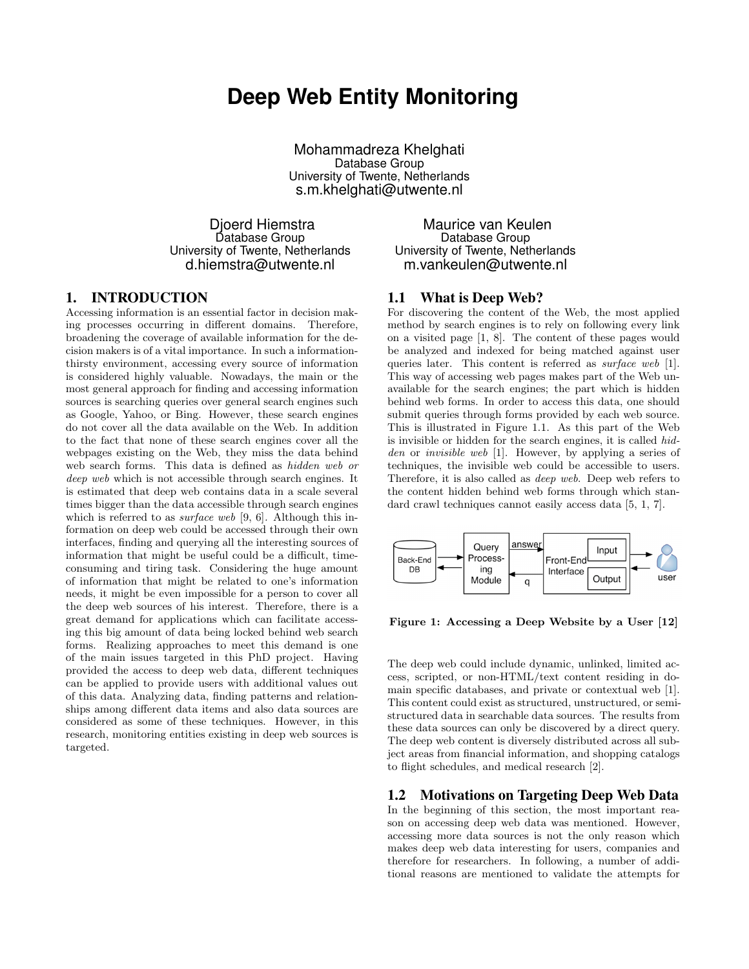# **Deep Web Entity Monitoring**

Mohammadreza Khelghati Database Group University of Twente, Netherlands s.m.khelghati@utwente.nl

Djoerd Hiemstra Database Group University of Twente, Netherlands d.hiemstra@utwente.nl

Maurice van Keulen Database Group University of Twente, Netherlands m.vankeulen@utwente.nl

### 1. INTRODUCTION

Accessing information is an essential factor in decision making processes occurring in different domains. Therefore, broadening the coverage of available information for the decision makers is of a vital importance. In such a informationthirsty environment, accessing every source of information is considered highly valuable. Nowadays, the main or the most general approach for finding and accessing information sources is searching queries over general search engines such as Google, Yahoo, or Bing. However, these search engines do not cover all the data available on the Web. In addition to the fact that none of these search engines cover all the webpages existing on the Web, they miss the data behind web search forms. This data is defined as hidden web or deep web which is not accessible through search engines. It is estimated that deep web contains data in a scale several times bigger than the data accessible through search engines which is referred to as *surface web* [9, 6]. Although this information on deep web could be accessed through their own interfaces, finding and querying all the interesting sources of information that might be useful could be a difficult, timeconsuming and tiring task. Considering the huge amount of information that might be related to one's information needs, it might be even impossible for a person to cover all the deep web sources of his interest. Therefore, there is a great demand for applications which can facilitate accessing this big amount of data being locked behind web search forms. Realizing approaches to meet this demand is one of the main issues targeted in this PhD project. Having provided the access to deep web data, different techniques can be applied to provide users with additional values out of this data. Analyzing data, finding patterns and relationships among different data items and also data sources are considered as some of these techniques. However, in this research, monitoring entities existing in deep web sources is targeted.

#### 1.1 What is Deep Web?

For discovering the content of the Web, the most applied method by search engines is to rely on following every link on a visited page [1, 8]. The content of these pages would be analyzed and indexed for being matched against user queries later. This content is referred as surface web [1]. This way of accessing web pages makes part of the Web unavailable for the search engines; the part which is hidden behind web forms. In order to access this data, one should submit queries through forms provided by each web source. This is illustrated in Figure 1.1. As this part of the Web is invisible or hidden for the search engines, it is called hidden or invisible web [1]. However, by applying a series of techniques, the invisible web could be accessible to users. Therefore, it is also called as deep web. Deep web refers to the content hidden behind web forms through which standard crawl techniques cannot easily access data [5, 1, 7].



Figure 1: Accessing a Deep Website by a User [12]

The deep web could include dynamic, unlinked, limited access, scripted, or non-HTML/text content residing in domain specific databases, and private or contextual web [1]. This content could exist as structured, unstructured, or semistructured data in searchable data sources. The results from these data sources can only be discovered by a direct query. The deep web content is diversely distributed across all subject areas from financial information, and shopping catalogs to flight schedules, and medical research [2].

### 1.2 Motivations on Targeting Deep Web Data

In the beginning of this section, the most important reason on accessing deep web data was mentioned. However, accessing more data sources is not the only reason which makes deep web data interesting for users, companies and therefore for researchers. In following, a number of additional reasons are mentioned to validate the attempts for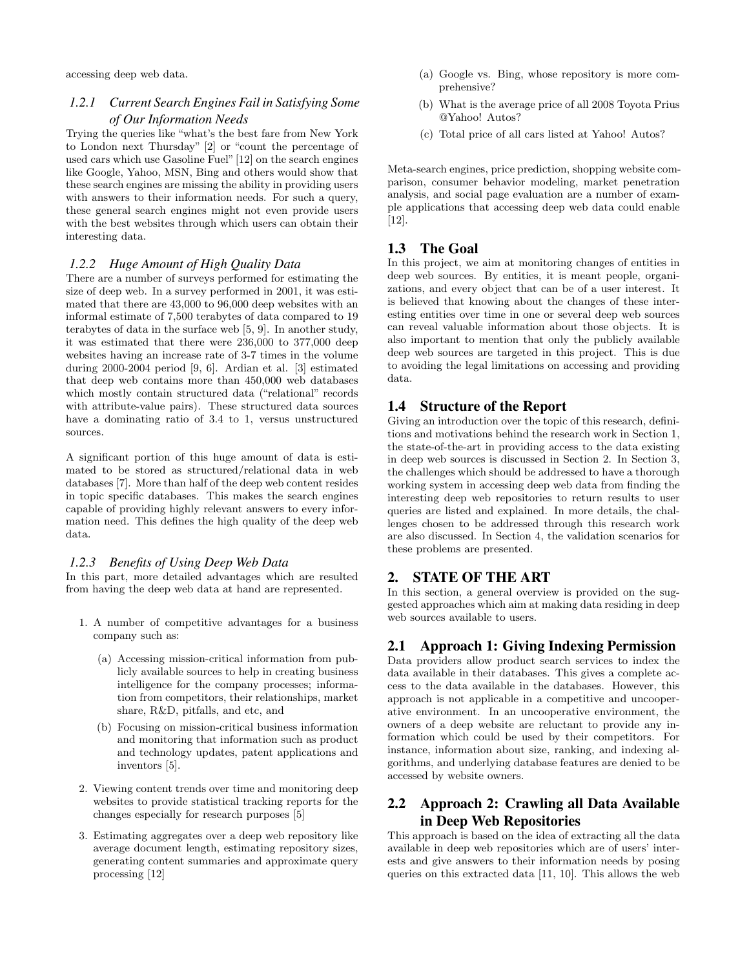accessing deep web data.

# *1.2.1 Current Search Engines Fail in Satisfying Some of Our Information Needs*

Trying the queries like "what's the best fare from New York to London next Thursday" [2] or "count the percentage of used cars which use Gasoline Fuel"[12] on the search engines like Google, Yahoo, MSN, Bing and others would show that these search engines are missing the ability in providing users with answers to their information needs. For such a query, these general search engines might not even provide users with the best websites through which users can obtain their interesting data.

### *1.2.2 Huge Amount of High Quality Data*

There are a number of surveys performed for estimating the size of deep web. In a survey performed in 2001, it was estimated that there are 43,000 to 96,000 deep websites with an informal estimate of 7,500 terabytes of data compared to 19 terabytes of data in the surface web [5, 9]. In another study, it was estimated that there were 236,000 to 377,000 deep websites having an increase rate of 3-7 times in the volume during 2000-2004 period [9, 6]. Ardian et al. [3] estimated that deep web contains more than 450,000 web databases which mostly contain structured data ("relational" records with attribute-value pairs). These structured data sources have a dominating ratio of 3.4 to 1, versus unstructured sources.

A significant portion of this huge amount of data is estimated to be stored as structured/relational data in web databases [7]. More than half of the deep web content resides in topic specific databases. This makes the search engines capable of providing highly relevant answers to every information need. This defines the high quality of the deep web data.

### *1.2.3 Benefits of Using Deep Web Data*

In this part, more detailed advantages which are resulted from having the deep web data at hand are represented.

- 1. A number of competitive advantages for a business company such as:
	- (a) Accessing mission-critical information from publicly available sources to help in creating business intelligence for the company processes; information from competitors, their relationships, market share, R&D, pitfalls, and etc, and
	- (b) Focusing on mission-critical business information and monitoring that information such as product and technology updates, patent applications and inventors [5].
- 2. Viewing content trends over time and monitoring deep websites to provide statistical tracking reports for the changes especially for research purposes [5]
- 3. Estimating aggregates over a deep web repository like average document length, estimating repository sizes, generating content summaries and approximate query processing [12]
- (a) Google vs. Bing, whose repository is more comprehensive?
- (b) What is the average price of all 2008 Toyota Prius @Yahoo! Autos?
- (c) Total price of all cars listed at Yahoo! Autos?

Meta-search engines, price prediction, shopping website comparison, consumer behavior modeling, market penetration analysis, and social page evaluation are a number of example applications that accessing deep web data could enable [12].

# 1.3 The Goal

In this project, we aim at monitoring changes of entities in deep web sources. By entities, it is meant people, organizations, and every object that can be of a user interest. It is believed that knowing about the changes of these interesting entities over time in one or several deep web sources can reveal valuable information about those objects. It is also important to mention that only the publicly available deep web sources are targeted in this project. This is due to avoiding the legal limitations on accessing and providing data.

# 1.4 Structure of the Report

Giving an introduction over the topic of this research, definitions and motivations behind the research work in Section 1, the state-of-the-art in providing access to the data existing in deep web sources is discussed in Section 2. In Section 3, the challenges which should be addressed to have a thorough working system in accessing deep web data from finding the interesting deep web repositories to return results to user queries are listed and explained. In more details, the challenges chosen to be addressed through this research work are also discussed. In Section 4, the validation scenarios for these problems are presented.

# 2. STATE OF THE ART

In this section, a general overview is provided on the suggested approaches which aim at making data residing in deep web sources available to users.

# 2.1 Approach 1: Giving Indexing Permission

Data providers allow product search services to index the data available in their databases. This gives a complete access to the data available in the databases. However, this approach is not applicable in a competitive and uncooperative environment. In an uncooperative environment, the owners of a deep website are reluctant to provide any information which could be used by their competitors. For instance, information about size, ranking, and indexing algorithms, and underlying database features are denied to be accessed by website owners.

# 2.2 Approach 2: Crawling all Data Available in Deep Web Repositories

This approach is based on the idea of extracting all the data available in deep web repositories which are of users' interests and give answers to their information needs by posing queries on this extracted data [11, 10]. This allows the web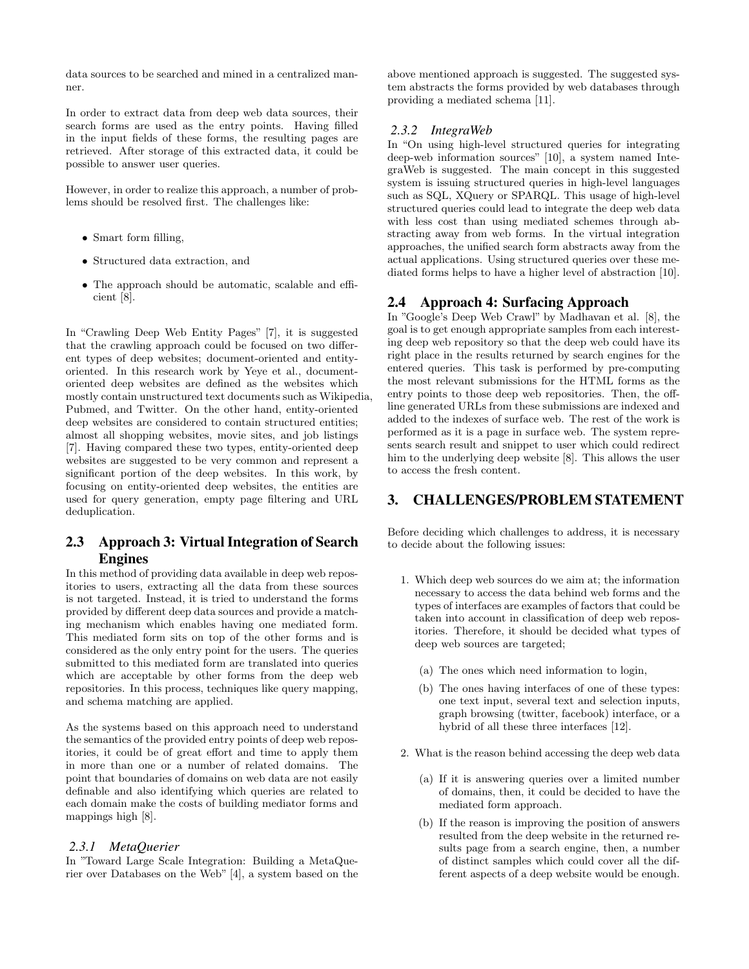data sources to be searched and mined in a centralized manner.

In order to extract data from deep web data sources, their search forms are used as the entry points. Having filled in the input fields of these forms, the resulting pages are retrieved. After storage of this extracted data, it could be possible to answer user queries.

However, in order to realize this approach, a number of problems should be resolved first. The challenges like:

- Smart form filling,
- Structured data extraction, and
- The approach should be automatic, scalable and efficient [8].

In "Crawling Deep Web Entity Pages" [7], it is suggested that the crawling approach could be focused on two different types of deep websites; document-oriented and entityoriented. In this research work by Yeye et al., documentoriented deep websites are defined as the websites which mostly contain unstructured text documents such as Wikipedia, Pubmed, and Twitter. On the other hand, entity-oriented deep websites are considered to contain structured entities; almost all shopping websites, movie sites, and job listings [7]. Having compared these two types, entity-oriented deep websites are suggested to be very common and represent a significant portion of the deep websites. In this work, by focusing on entity-oriented deep websites, the entities are used for query generation, empty page filtering and URL deduplication.

# 2.3 Approach 3: Virtual Integration of Search Engines

In this method of providing data available in deep web repositories to users, extracting all the data from these sources is not targeted. Instead, it is tried to understand the forms provided by different deep data sources and provide a matching mechanism which enables having one mediated form. This mediated form sits on top of the other forms and is considered as the only entry point for the users. The queries submitted to this mediated form are translated into queries which are acceptable by other forms from the deep web repositories. In this process, techniques like query mapping, and schema matching are applied.

As the systems based on this approach need to understand the semantics of the provided entry points of deep web repositories, it could be of great effort and time to apply them in more than one or a number of related domains. The point that boundaries of domains on web data are not easily definable and also identifying which queries are related to each domain make the costs of building mediator forms and mappings high [8].

#### *2.3.1 MetaQuerier*

In "Toward Large Scale Integration: Building a MetaQuerier over Databases on the Web" [4], a system based on the above mentioned approach is suggested. The suggested system abstracts the forms provided by web databases through providing a mediated schema [11].

#### *2.3.2 IntegraWeb*

In "On using high-level structured queries for integrating deep-web information sources" [10], a system named IntegraWeb is suggested. The main concept in this suggested system is issuing structured queries in high-level languages such as SQL, XQuery or SPARQL. This usage of high-level structured queries could lead to integrate the deep web data with less cost than using mediated schemes through abstracting away from web forms. In the virtual integration approaches, the unified search form abstracts away from the actual applications. Using structured queries over these mediated forms helps to have a higher level of abstraction [10].

### 2.4 Approach 4: Surfacing Approach

In "Google's Deep Web Crawl" by Madhavan et al. [8], the goal is to get enough appropriate samples from each interesting deep web repository so that the deep web could have its right place in the results returned by search engines for the entered queries. This task is performed by pre-computing the most relevant submissions for the HTML forms as the entry points to those deep web repositories. Then, the offline generated URLs from these submissions are indexed and added to the indexes of surface web. The rest of the work is performed as it is a page in surface web. The system represents search result and snippet to user which could redirect him to the underlying deep website [8]. This allows the user to access the fresh content.

# 3. CHALLENGES/PROBLEM STATEMENT

Before deciding which challenges to address, it is necessary to decide about the following issues:

- 1. Which deep web sources do we aim at; the information necessary to access the data behind web forms and the types of interfaces are examples of factors that could be taken into account in classification of deep web repositories. Therefore, it should be decided what types of deep web sources are targeted;
	- (a) The ones which need information to login,
	- (b) The ones having interfaces of one of these types: one text input, several text and selection inputs, graph browsing (twitter, facebook) interface, or a hybrid of all these three interfaces [12].
- 2. What is the reason behind accessing the deep web data
	- (a) If it is answering queries over a limited number of domains, then, it could be decided to have the mediated form approach.
	- (b) If the reason is improving the position of answers resulted from the deep website in the returned results page from a search engine, then, a number of distinct samples which could cover all the different aspects of a deep website would be enough.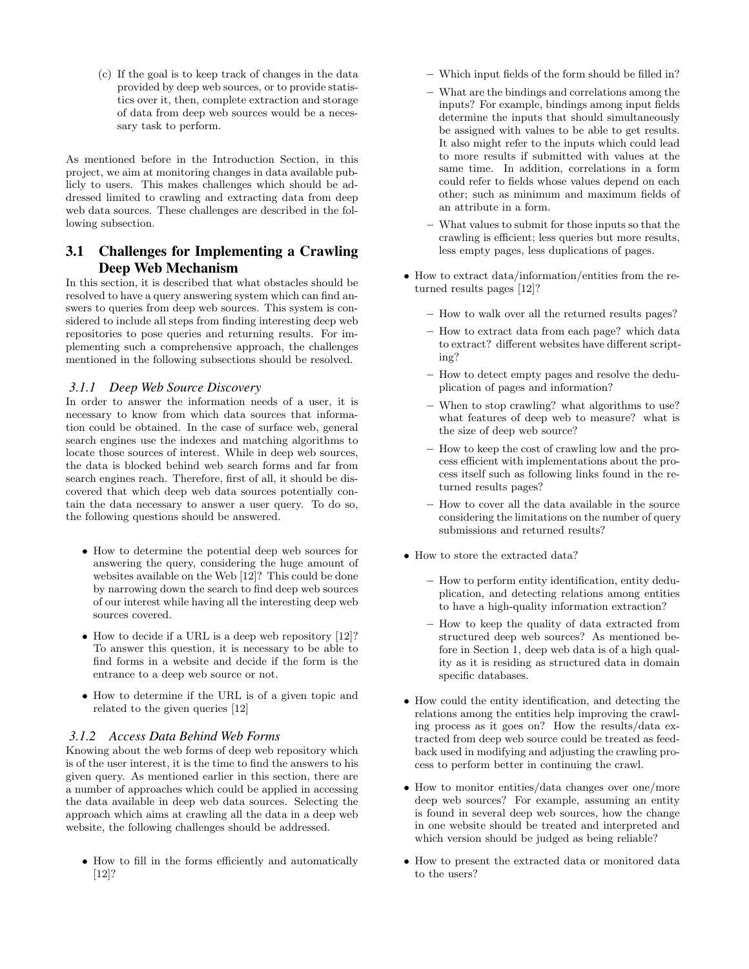(c) If the goal is to keep track of changes in the data provided by deep web sources, or to provide statistics over it, then, complete extraction and storage of data from deep web sources would be a necessary task to perform.

As mentioned before in the Introduction Section, in this project, we aim at monitoring changes in data available publicly to users. This makes challenges which should be addressed limited to crawling and extracting data from deep web data sources. These challenges are described in the following subsection.

# 3.1 Challenges for Implementing a Crawling Deep Web Mechanism

In this section, it is described that what obstacles should be resolved to have a query answering system which can find answers to queries from deep web sources. This system is considered to include all steps from finding interesting deep web repositories to pose queries and returning results. For implementing such a comprehensive approach, the challenges mentioned in the following subsections should be resolved.

### *3.1.1 Deep Web Source Discovery*

In order to answer the information needs of a user, it is necessary to know from which data sources that information could be obtained. In the case of surface web, general search engines use the indexes and matching algorithms to locate those sources of interest. While in deep web sources, the data is blocked behind web search forms and far from search engines reach. Therefore, first of all, it should be discovered that which deep web data sources potentially contain the data necessary to answer a user query. To do so, the following questions should be answered.

- How to determine the potential deep web sources for answering the query, considering the huge amount of websites available on the Web [12]? This could be done by narrowing down the search to find deep web sources of our interest while having all the interesting deep web sources covered.
- How to decide if a URL is a deep web repository [12]? To answer this question, it is necessary to be able to find forms in a website and decide if the form is the entrance to a deep web source or not.
- How to determine if the URL is of a given topic and related to the given queries [12]

### *3.1.2 Access Data Behind Web Forms*

Knowing about the web forms of deep web repository which is of the user interest, it is the time to find the answers to his given query. As mentioned earlier in this section, there are a number of approaches which could be applied in accessing the data available in deep web data sources. Selecting the approach which aims at crawling all the data in a deep web website, the following challenges should be addressed.

• How to fill in the forms efficiently and automatically [12]?

- Which input fields of the form should be filled in?
- What are the bindings and correlations among the inputs? For example, bindings among input fields determine the inputs that should simultaneously be assigned with values to be able to get results. It also might refer to the inputs which could lead to more results if submitted with values at the same time. In addition, correlations in a form could refer to fields whose values depend on each other; such as minimum and maximum fields of an attribute in a form.
- What values to submit for those inputs so that the crawling is efficient; less queries but more results, less empty pages, less duplications of pages.
- How to extract data/information/entities from the returned results pages [12]?
	- How to walk over all the returned results pages?
	- How to extract data from each page? which data to extract? different websites have different scripting?
	- How to detect empty pages and resolve the deduplication of pages and information?
	- When to stop crawling? what algorithms to use? what features of deep web to measure? what is the size of deep web source?
	- How to keep the cost of crawling low and the process efficient with implementations about the process itself such as following links found in the returned results pages?
	- How to cover all the data available in the source considering the limitations on the number of query submissions and returned results?
- How to store the extracted data?
	- How to perform entity identification, entity deduplication, and detecting relations among entities to have a high-quality information extraction?
	- How to keep the quality of data extracted from structured deep web sources? As mentioned before in Section 1, deep web data is of a high quality as it is residing as structured data in domain specific databases.
- How could the entity identification, and detecting the relations among the entities help improving the crawling process as it goes on? How the results/data extracted from deep web source could be treated as feedback used in modifying and adjusting the crawling process to perform better in continuing the crawl.
- How to monitor entities/data changes over one/more deep web sources? For example, assuming an entity is found in several deep web sources, how the change in one website should be treated and interpreted and which version should be judged as being reliable?
- How to present the extracted data or monitored data to the users?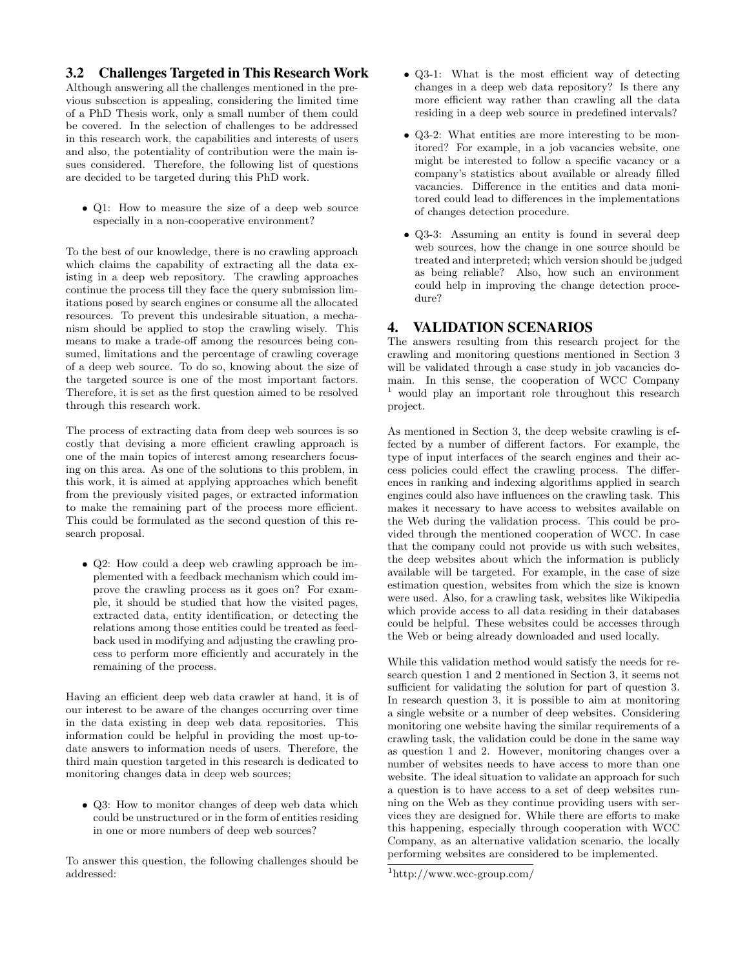# 3.2 Challenges Targeted in This Research Work

Although answering all the challenges mentioned in the previous subsection is appealing, considering the limited time of a PhD Thesis work, only a small number of them could be covered. In the selection of challenges to be addressed in this research work, the capabilities and interests of users and also, the potentiality of contribution were the main issues considered. Therefore, the following list of questions are decided to be targeted during this PhD work.

• Q1: How to measure the size of a deep web source especially in a non-cooperative environment?

To the best of our knowledge, there is no crawling approach which claims the capability of extracting all the data existing in a deep web repository. The crawling approaches continue the process till they face the query submission limitations posed by search engines or consume all the allocated resources. To prevent this undesirable situation, a mechanism should be applied to stop the crawling wisely. This means to make a trade-off among the resources being consumed, limitations and the percentage of crawling coverage of a deep web source. To do so, knowing about the size of the targeted source is one of the most important factors. Therefore, it is set as the first question aimed to be resolved through this research work.

The process of extracting data from deep web sources is so costly that devising a more efficient crawling approach is one of the main topics of interest among researchers focusing on this area. As one of the solutions to this problem, in this work, it is aimed at applying approaches which benefit from the previously visited pages, or extracted information to make the remaining part of the process more efficient. This could be formulated as the second question of this research proposal.

• Q2: How could a deep web crawling approach be implemented with a feedback mechanism which could improve the crawling process as it goes on? For example, it should be studied that how the visited pages, extracted data, entity identification, or detecting the relations among those entities could be treated as feedback used in modifying and adjusting the crawling process to perform more efficiently and accurately in the remaining of the process.

Having an efficient deep web data crawler at hand, it is of our interest to be aware of the changes occurring over time in the data existing in deep web data repositories. This information could be helpful in providing the most up-todate answers to information needs of users. Therefore, the third main question targeted in this research is dedicated to monitoring changes data in deep web sources;

• Q3: How to monitor changes of deep web data which could be unstructured or in the form of entities residing in one or more numbers of deep web sources?

To answer this question, the following challenges should be addressed:

- Q3-1: What is the most efficient way of detecting changes in a deep web data repository? Is there any more efficient way rather than crawling all the data residing in a deep web source in predefined intervals?
- Q3-2: What entities are more interesting to be monitored? For example, in a job vacancies website, one might be interested to follow a specific vacancy or a company's statistics about available or already filled vacancies. Difference in the entities and data monitored could lead to differences in the implementations of changes detection procedure.
- Q3-3: Assuming an entity is found in several deep web sources, how the change in one source should be treated and interpreted; which version should be judged as being reliable? Also, how such an environment could help in improving the change detection procedure?

# 4. VALIDATION SCENARIOS

The answers resulting from this research project for the crawling and monitoring questions mentioned in Section 3 will be validated through a case study in job vacancies domain. In this sense, the cooperation of WCC Company <sup>1</sup> would play an important role throughout this research project.

As mentioned in Section 3, the deep website crawling is effected by a number of different factors. For example, the type of input interfaces of the search engines and their access policies could effect the crawling process. The differences in ranking and indexing algorithms applied in search engines could also have influences on the crawling task. This makes it necessary to have access to websites available on the Web during the validation process. This could be provided through the mentioned cooperation of WCC. In case that the company could not provide us with such websites, the deep websites about which the information is publicly available will be targeted. For example, in the case of size estimation question, websites from which the size is known were used. Also, for a crawling task, websites like Wikipedia which provide access to all data residing in their databases could be helpful. These websites could be accesses through the Web or being already downloaded and used locally.

While this validation method would satisfy the needs for research question 1 and 2 mentioned in Section 3, it seems not sufficient for validating the solution for part of question 3. In research question 3, it is possible to aim at monitoring a single website or a number of deep websites. Considering monitoring one website having the similar requirements of a crawling task, the validation could be done in the same way as question 1 and 2. However, monitoring changes over a number of websites needs to have access to more than one website. The ideal situation to validate an approach for such a question is to have access to a set of deep websites running on the Web as they continue providing users with services they are designed for. While there are efforts to make this happening, especially through cooperation with WCC Company, as an alternative validation scenario, the locally performing websites are considered to be implemented.

<sup>1</sup>http://www.wcc-group.com/